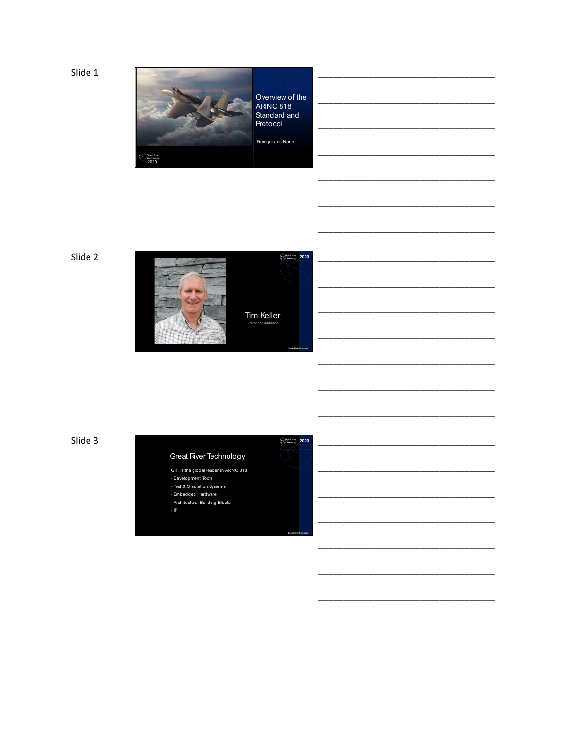Slide 1



Overview of the<br>ARINC 818 Standard and

 $\begin{array}{|c|c|}\hline \text{Cend} & 2020\hline \end{array}$ 

Slide 2



Slide 3

# Great River Technology

GRT is the global leader in ARINC 818 -<br>- Development Tools<br>- Test & Simulation Systems

· Embedded Hardware

- Architectural Building Blocks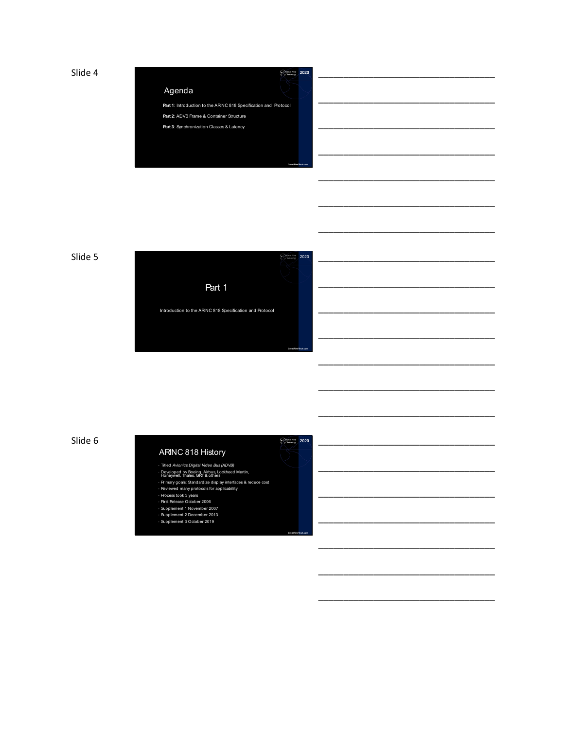Slide 4  $\frac{2020}{20}$ 

## Agenda

**Part 1**: Introduction to the ARINC 818 Specification and Protocol Part 2: ADVB Frame & Container Structure

**Part 3**: Synchronization Classes & Latency







\_\_\_\_\_\_\_\_\_\_\_\_\_\_\_\_\_\_\_\_\_\_\_\_\_\_\_\_\_\_\_\_\_\_\_

\_\_\_\_\_\_\_\_\_\_\_\_\_\_\_\_\_\_\_\_\_\_\_\_\_\_\_\_\_\_\_\_\_\_\_

\_\_\_\_\_\_\_\_\_\_\_\_\_\_\_\_\_\_\_\_\_\_\_\_\_\_\_\_\_\_\_\_\_\_\_

\_\_\_\_\_\_\_\_\_\_\_\_\_\_\_\_\_\_\_\_\_\_\_\_\_\_\_\_\_\_\_\_\_\_\_

\_\_\_\_\_\_\_\_\_\_\_\_\_\_\_\_\_\_\_\_\_\_\_\_\_\_\_\_\_\_\_\_\_\_\_

\_\_\_\_\_\_\_\_\_\_\_\_\_\_\_\_\_\_\_\_\_\_\_\_\_\_\_\_\_\_\_\_\_\_\_

\_\_\_\_\_\_\_\_\_\_\_\_\_\_\_\_\_\_\_\_\_\_\_\_\_\_\_\_\_\_\_\_\_\_\_

\_\_\_\_\_\_\_\_\_\_\_\_\_\_\_\_\_\_\_\_\_\_\_\_\_\_\_\_\_\_\_\_\_\_\_

\_\_\_\_\_\_\_\_\_\_\_\_\_\_\_\_\_\_\_\_\_\_\_\_\_\_\_\_\_\_\_\_\_\_\_

\_\_\_\_\_\_\_\_\_\_\_\_\_\_\_\_\_\_\_\_\_\_\_\_\_\_\_\_\_\_\_\_\_\_\_

\_\_\_\_\_\_\_\_\_\_\_\_\_\_\_\_\_\_\_\_\_\_\_\_\_\_\_\_\_\_\_\_\_\_\_

\_\_\_\_\_\_\_\_\_\_\_\_\_\_\_\_\_\_\_\_\_\_\_\_\_\_\_\_\_\_\_\_\_\_\_

\_\_\_\_\_\_\_\_\_\_\_\_\_\_\_\_\_\_\_\_\_\_\_\_\_\_\_\_\_\_\_\_\_\_\_

\_\_\_\_\_\_\_\_\_\_\_\_\_\_\_\_\_\_\_\_\_\_\_\_\_\_\_\_\_\_\_\_\_\_\_

Slide 6  $\frac{80 \text{ m/s}}{2020}$  2020

## ARINC 818 History

- 
- Titled *Avionics Digital Video Bus (ADVB)* Developed by Boeing, Airbus, Lockheed Martin, Honeywell, Thales, GRT & others
- Primary goals: Standardize display interfaces & reduce cost Reviewed many protocols for applicability Process took 3 years First Release October 2006

**GreatRiverTech.com**

- 
- 
- Supplement 1 November 2007 Supplement 2 December 2013 Supplement 3 October 2019
-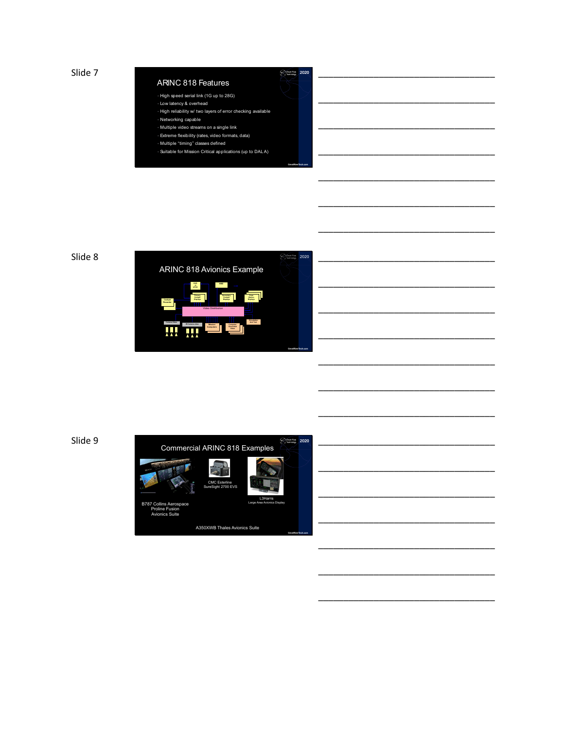Slide  $7$  2020

#### ARINC 818 Features

- High speed serial link (1G up to 28G)
- Low latency & overhead
- High reliability w/ two layers of error checking available • Networking capable
- Multiple video streams on a single link
- Extreme flexibility (rates, video formats, data)
- Multiple "timing" classes defined
- Suitable for Mission Critical applications (up to DAL A)

**GreatRiverTech.com**

# \_\_\_\_\_\_\_\_\_\_\_\_\_\_\_\_\_\_\_\_\_\_\_\_\_\_\_\_\_\_\_\_\_\_\_ \_\_\_\_\_\_\_\_\_\_\_\_\_\_\_\_\_\_\_\_\_\_\_\_\_\_\_\_\_\_\_\_\_\_\_ \_\_\_\_\_\_\_\_\_\_\_\_\_\_\_\_\_\_\_\_\_\_\_\_\_\_\_\_\_\_\_\_\_\_\_ \_\_\_\_\_\_\_\_\_\_\_\_\_\_\_\_\_\_\_\_\_\_\_\_\_\_\_\_\_\_\_\_\_\_\_

\_\_\_\_\_\_\_\_\_\_\_\_\_\_\_\_\_\_\_\_\_\_\_\_\_\_\_\_\_\_\_\_\_\_\_

\_\_\_\_\_\_\_\_\_\_\_\_\_\_\_\_\_\_\_\_\_\_\_\_\_\_\_\_\_\_\_\_\_\_\_

\_\_\_\_\_\_\_\_\_\_\_\_\_\_\_\_\_\_\_\_\_\_\_\_\_\_\_\_\_\_\_\_\_\_\_



\_\_\_\_\_\_\_\_\_\_\_\_\_\_\_\_\_\_\_\_\_\_\_\_\_\_\_\_\_\_\_\_\_\_\_ \_\_\_\_\_\_\_\_\_\_\_\_\_\_\_\_\_\_\_\_\_\_\_\_\_\_\_\_\_\_\_\_\_\_\_ \_\_\_\_\_\_\_\_\_\_\_\_\_\_\_\_\_\_\_\_\_\_\_\_\_\_\_\_\_\_\_\_\_\_\_ \_\_\_\_\_\_\_\_\_\_\_\_\_\_\_\_\_\_\_\_\_\_\_\_\_\_\_\_\_\_\_\_\_\_\_

\_\_\_\_\_\_\_\_\_\_\_\_\_\_\_\_\_\_\_\_\_\_\_\_\_\_\_\_\_\_\_\_\_\_\_

\_\_\_\_\_\_\_\_\_\_\_\_\_\_\_\_\_\_\_\_\_\_\_\_\_\_\_\_\_\_\_\_\_\_\_

\_\_\_\_\_\_\_\_\_\_\_\_\_\_\_\_\_\_\_\_\_\_\_\_\_\_\_\_\_\_\_\_\_\_\_

\_\_\_\_\_\_\_\_\_\_\_\_\_\_\_\_\_\_\_\_\_\_\_\_\_\_\_\_\_\_\_\_\_\_\_

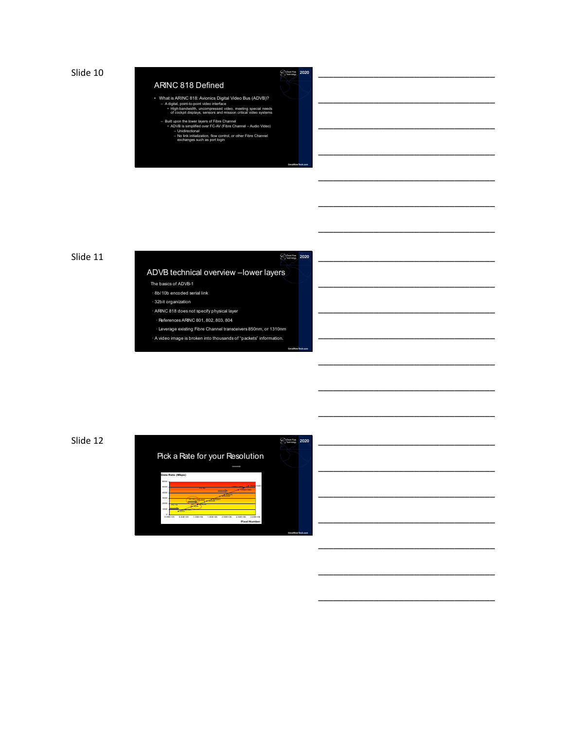Slide  $10$   $\frac{1}{2020}$ 

## ARINC 818 Defined

- What is ARINC 818: Avionics Digital Video Bus (ADVB)? A digital, point-to-point video interface High-bandwidth, uncompressed video, meeting special needs of cockpit displays, sensors and mission critical video systems
- Built upon the lower layers of Fibre Channel<br>• ADVB is simplified over FC-AV (Fibre Channel Audio Video)<br>– Unidirectional<br>– No link initialization, flow control, or other Fibre Channel<br>• exchanges such as port login
	-

**GreatRiverTech.com**

**GreatRiverTech.com**

# \_\_\_\_\_\_\_\_\_\_\_\_\_\_\_\_\_\_\_\_\_\_\_\_\_\_\_\_\_\_\_\_\_\_\_ \_\_\_\_\_\_\_\_\_\_\_\_\_\_\_\_\_\_\_\_\_\_\_\_\_\_\_\_\_\_\_\_\_\_\_

\_\_\_\_\_\_\_\_\_\_\_\_\_\_\_\_\_\_\_\_\_\_\_\_\_\_\_\_\_\_\_\_\_\_\_

\_\_\_\_\_\_\_\_\_\_\_\_\_\_\_\_\_\_\_\_\_\_\_\_\_\_\_\_\_\_\_\_\_\_\_

\_\_\_\_\_\_\_\_\_\_\_\_\_\_\_\_\_\_\_\_\_\_\_\_\_\_\_\_\_\_\_\_\_\_\_

\_\_\_\_\_\_\_\_\_\_\_\_\_\_\_\_\_\_\_\_\_\_\_\_\_\_\_\_\_\_\_\_\_\_\_

\_\_\_\_\_\_\_\_\_\_\_\_\_\_\_\_\_\_\_\_\_\_\_\_\_\_\_\_\_\_\_\_\_\_\_

\_\_\_\_\_\_\_\_\_\_\_\_\_\_\_\_\_\_\_\_\_\_\_\_\_\_\_\_\_\_\_\_\_\_\_

\_\_\_\_\_\_\_\_\_\_\_\_\_\_\_\_\_\_\_\_\_\_\_\_\_\_\_\_\_\_\_\_\_\_\_

\_\_\_\_\_\_\_\_\_\_\_\_\_\_\_\_\_\_\_\_\_\_\_\_\_\_\_\_\_\_\_\_\_\_\_

\_\_\_\_\_\_\_\_\_\_\_\_\_\_\_\_\_\_\_\_\_\_\_\_\_\_\_\_\_\_\_\_\_\_\_

\_\_\_\_\_\_\_\_\_\_\_\_\_\_\_\_\_\_\_\_\_\_\_\_\_\_\_\_\_\_\_\_\_\_\_

\_\_\_\_\_\_\_\_\_\_\_\_\_\_\_\_\_\_\_\_\_\_\_\_\_\_\_\_\_\_\_\_\_\_\_

\_\_\_\_\_\_\_\_\_\_\_\_\_\_\_\_\_\_\_\_\_\_\_\_\_\_\_\_\_\_\_\_\_\_\_

\_\_\_\_\_\_\_\_\_\_\_\_\_\_\_\_\_\_\_\_\_\_\_\_\_\_\_\_\_\_\_\_\_\_\_

\_\_\_\_\_\_\_\_\_\_\_\_\_\_\_\_\_\_\_\_\_\_\_\_\_\_\_\_\_\_\_\_\_\_\_

\_\_\_\_\_\_\_\_\_\_\_\_\_\_\_\_\_\_\_\_\_\_\_\_\_\_\_\_\_\_\_\_\_\_\_

\_\_\_\_\_\_\_\_\_\_\_\_\_\_\_\_\_\_\_\_\_\_\_\_\_\_\_\_\_\_\_\_\_\_\_

\_\_\_\_\_\_\_\_\_\_\_\_\_\_\_\_\_\_\_\_\_\_\_\_\_\_\_\_\_\_\_\_\_\_\_

\_\_\_\_\_\_\_\_\_\_\_\_\_\_\_\_\_\_\_\_\_\_\_\_\_\_\_\_\_\_\_\_\_\_\_

\_\_\_\_\_\_\_\_\_\_\_\_\_\_\_\_\_\_\_\_\_\_\_\_\_\_\_\_\_\_\_\_\_\_\_

#### Slide 11  $\frac{1}{2020}$

## ADVB technical overview –lower layers

- The basics of ADVB-1
- 8b/10b encoded serial link
- 32bit organization ARINC 818 does not specify physical layer
- 
- References ARINC 801, 802, 803, 804
- Leverage existing Fibre Channel transceivers 850nm, or 1310nm
- A video image is broken into thousands of "packets" information.

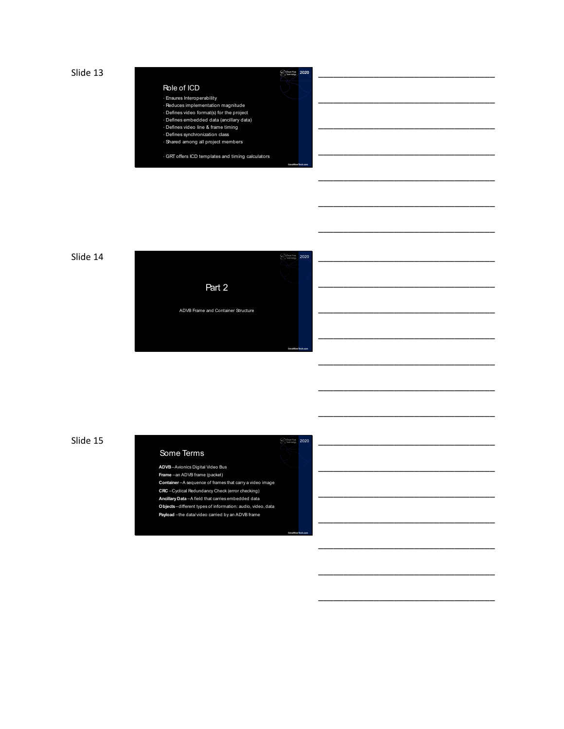Slide  $13$   $\frac{2020}{20}$ 

#### Role of ICD

# • Ensures Interoperability • Reduces implementation magnitude

- 
- Defines video format(s) for the project Defines embedded data (ancillary data)
- Defines video line & frame timing Defines synchronization class
- Shared among all project members

• GRT offers ICD templates and timing calculators

**GreatRiverTech.com**

**GreatRiverTech.com**





\_\_\_\_\_\_\_\_\_\_\_\_\_\_\_\_\_\_\_\_\_\_\_\_\_\_\_\_\_\_\_\_\_\_\_ \_\_\_\_\_\_\_\_\_\_\_\_\_\_\_\_\_\_\_\_\_\_\_\_\_\_\_\_\_\_\_\_\_\_\_ \_\_\_\_\_\_\_\_\_\_\_\_\_\_\_\_\_\_\_\_\_\_\_\_\_\_\_\_\_\_\_\_\_\_\_

\_\_\_\_\_\_\_\_\_\_\_\_\_\_\_\_\_\_\_\_\_\_\_\_\_\_\_\_\_\_\_\_\_\_\_

\_\_\_\_\_\_\_\_\_\_\_\_\_\_\_\_\_\_\_\_\_\_\_\_\_\_\_\_\_\_\_\_\_\_\_

\_\_\_\_\_\_\_\_\_\_\_\_\_\_\_\_\_\_\_\_\_\_\_\_\_\_\_\_\_\_\_\_\_\_\_

\_\_\_\_\_\_\_\_\_\_\_\_\_\_\_\_\_\_\_\_\_\_\_\_\_\_\_\_\_\_\_\_\_\_\_

\_\_\_\_\_\_\_\_\_\_\_\_\_\_\_\_\_\_\_\_\_\_\_\_\_\_\_\_\_\_\_\_\_\_\_

\_\_\_\_\_\_\_\_\_\_\_\_\_\_\_\_\_\_\_\_\_\_\_\_\_\_\_\_\_\_\_\_\_\_\_

\_\_\_\_\_\_\_\_\_\_\_\_\_\_\_\_\_\_\_\_\_\_\_\_\_\_\_\_\_\_\_\_\_\_\_

\_\_\_\_\_\_\_\_\_\_\_\_\_\_\_\_\_\_\_\_\_\_\_\_\_\_\_\_\_\_\_\_\_\_\_

\_\_\_\_\_\_\_\_\_\_\_\_\_\_\_\_\_\_\_\_\_\_\_\_\_\_\_\_\_\_\_\_\_\_\_

\_\_\_\_\_\_\_\_\_\_\_\_\_\_\_\_\_\_\_\_\_\_\_\_\_\_\_\_\_\_\_\_\_\_\_

\_\_\_\_\_\_\_\_\_\_\_\_\_\_\_\_\_\_\_\_\_\_\_\_\_\_\_\_\_\_\_\_\_\_\_

\_\_\_\_\_\_\_\_\_\_\_\_\_\_\_\_\_\_\_\_\_\_\_\_\_\_\_\_\_\_\_\_\_\_\_

\_\_\_\_\_\_\_\_\_\_\_\_\_\_\_\_\_\_\_\_\_\_\_\_\_\_\_\_\_\_\_\_\_\_\_

\_\_\_\_\_\_\_\_\_\_\_\_\_\_\_\_\_\_\_\_\_\_\_\_\_\_\_\_\_\_\_\_\_\_\_

\_\_\_\_\_\_\_\_\_\_\_\_\_\_\_\_\_\_\_\_\_\_\_\_\_\_\_\_\_\_\_\_\_\_\_

\_\_\_\_\_\_\_\_\_\_\_\_\_\_\_\_\_\_\_\_\_\_\_\_\_\_\_\_\_\_\_\_\_\_\_

\_\_\_\_\_\_\_\_\_\_\_\_\_\_\_\_\_\_\_\_\_\_\_\_\_\_\_\_\_\_\_\_\_\_\_

\_\_\_\_\_\_\_\_\_\_\_\_\_\_\_\_\_\_\_\_\_\_\_\_\_\_\_\_\_\_\_\_\_\_\_

Slide  $15$   $\frac{32020}{2020}$ 

# Some Terms

#### **ADVB**–Avionics Digital Video Bus

- **Frame** –an ADVB frame (packet)
- **Container** –A sequence of frames that carry a video image **CRC** –Cyclical Redundancy Check (error checking)
- **Ancillary Data** –A field that carries embedded data
- **Objects**–different types of information: audio, video, data
- **Payload** –the data/video carried by an ADVB frame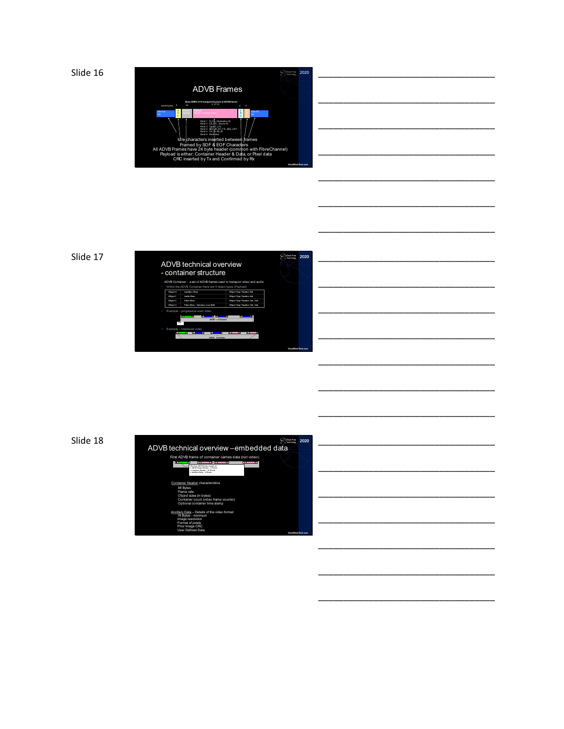

\_\_\_\_\_\_\_\_\_\_\_\_\_\_\_\_\_\_\_\_\_\_\_\_\_\_\_\_\_\_\_\_\_\_\_

\_\_\_\_\_\_\_\_\_\_\_\_\_\_\_\_\_\_\_\_\_\_\_\_\_\_\_\_\_\_\_\_\_\_\_

\_\_\_\_\_\_\_\_\_\_\_\_\_\_\_\_\_\_\_\_\_\_\_\_\_\_\_\_\_\_\_\_\_\_\_



\_\_\_\_\_\_\_\_\_\_\_\_\_\_\_\_\_\_\_\_\_\_\_\_\_\_\_\_\_\_\_\_\_\_\_ \_\_\_\_\_\_\_\_\_\_\_\_\_\_\_\_\_\_\_\_\_\_\_\_\_\_\_\_\_\_\_\_\_\_\_ \_\_\_\_\_\_\_\_\_\_\_\_\_\_\_\_\_\_\_\_\_\_\_\_\_\_\_\_\_\_\_\_\_\_\_ \_\_\_\_\_\_\_\_\_\_\_\_\_\_\_\_\_\_\_\_\_\_\_\_\_\_\_\_\_\_\_\_\_\_\_

\_\_\_\_\_\_\_\_\_\_\_\_\_\_\_\_\_\_\_\_\_\_\_\_\_\_\_\_\_\_\_\_\_\_\_

\_\_\_\_\_\_\_\_\_\_\_\_\_\_\_\_\_\_\_\_\_\_\_\_\_\_\_\_\_\_\_\_\_\_\_

\_\_\_\_\_\_\_\_\_\_\_\_\_\_\_\_\_\_\_\_\_\_\_\_\_\_\_\_\_\_\_\_\_\_\_

\_\_\_\_\_\_\_\_\_\_\_\_\_\_\_\_\_\_\_\_\_\_\_\_\_\_\_\_\_\_\_\_\_\_\_

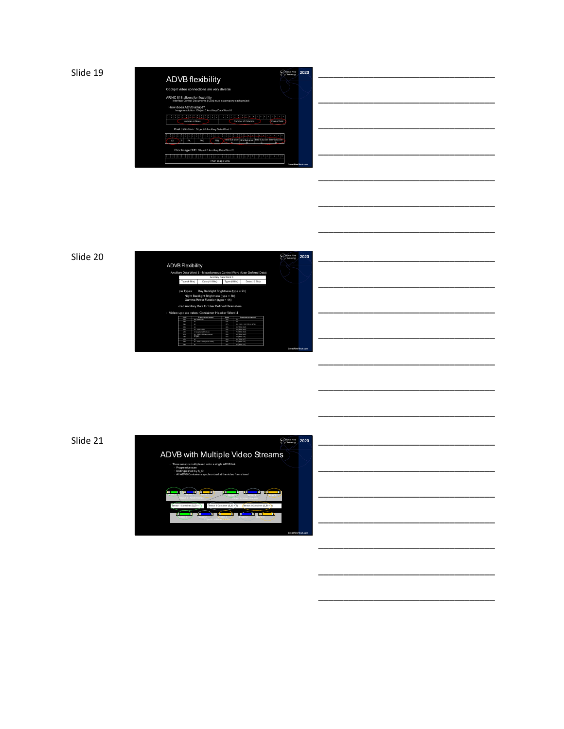

Slide 20

|                         |                                                                                                                                                                                |                       |                      |                             | <b>Count Prais</b><br>man | 2020                      |
|-------------------------|--------------------------------------------------------------------------------------------------------------------------------------------------------------------------------|-----------------------|----------------------|-----------------------------|---------------------------|---------------------------|
| <b>ADVB Flexibility</b> |                                                                                                                                                                                |                       |                      |                             |                           |                           |
|                         | Ancillary Data Word 3-Miscellaneous Control Word (User Defined Data)                                                                                                           |                       |                      |                             |                           |                           |
|                         |                                                                                                                                                                                | Ancillary Data Word 3 |                      |                             |                           |                           |
| Type (6 Bits)           | Data (10 Bits)                                                                                                                                                                 | Type (6 Bits)         |                      | Data (10 Bits)              |                           |                           |
|                         | Night Backlight Brightness (type = 3h)<br>Gamma Power Function (type = 4h)<br>ided Ancillary Data for User Defined Parameters<br>- Video update rates: Container Header Word 4 |                       |                      |                             |                           |                           |
| <b>COAA</b>             | Frame rate per second                                                                                                                                                          | Posts.                |                      | Framerick servessed         |                           |                           |
| AND.<br><b>ASK</b>      | <b>Null Generated</b><br>P.                                                                                                                                                    | $\sim$                | <b>SO</b><br>×       |                             |                           |                           |
| <b>CZN</b>              | 22                                                                                                                                                                             | <b>COL</b>            |                      | 63 1000 / 1001 (99.96 NTSC) |                           |                           |
| 7.55                    | ×                                                                                                                                                                              |                       | 55 ARSA FISTS        |                             |                           |                           |
| <b>TTM</b>              | THE TIMES / SPIES                                                                                                                                                              |                       | <b>AR ARRA FINER</b> |                             |                           |                           |
| 225                     | <b>20 (womening hames)</b>                                                                                                                                                     | CAN                   | <b>73 OSSA DIST</b>  |                             |                           |                           |
| A3h                     | 26.1000 / 1001(@gmented                                                                                                                                                        | cm                    | <b>83 OSSA DIST</b>  |                             |                           |                           |
| 44%                     | <b>TEXTS</b>                                                                                                                                                                   | $\infty$              | 32 OBBA CVE          |                             |                           |                           |
| cm                      | $\mathbf{x}$                                                                                                                                                                   | con                   | 62 0/836 CVT         |                             |                           |                           |
| CIA                     | 30 - 1000 / 1001 (2007 NTSC)                                                                                                                                                   | cm.                   | <b>ZI OBBA CVE</b>   |                             |                           |                           |
| on                      | <b>NO</b>                                                                                                                                                                      | on.                   | <b>33 OBBA CVE</b>   |                             |                           |                           |
|                         |                                                                                                                                                                                |                       |                      |                             |                           | <b>GreatBlackTech com</b> |

\_\_\_\_\_\_\_\_\_\_\_\_\_\_\_\_\_\_\_\_\_\_\_\_\_\_\_\_\_\_\_\_\_\_\_ \_\_\_\_\_\_\_\_\_\_\_\_\_\_\_\_\_\_\_\_\_\_\_\_\_\_\_\_\_\_\_\_\_\_\_ \_\_\_\_\_\_\_\_\_\_\_\_\_\_\_\_\_\_\_\_\_\_\_\_\_\_\_\_\_\_\_\_\_\_\_ \_\_\_\_\_\_\_\_\_\_\_\_\_\_\_\_\_\_\_\_\_\_\_\_\_\_\_\_\_\_\_\_\_\_\_

\_\_\_\_\_\_\_\_\_\_\_\_\_\_\_\_\_\_\_\_\_\_\_\_\_\_\_\_\_\_\_\_\_\_\_

\_\_\_\_\_\_\_\_\_\_\_\_\_\_\_\_\_\_\_\_\_\_\_\_\_\_\_\_\_\_\_\_\_\_\_

\_\_\_\_\_\_\_\_\_\_\_\_\_\_\_\_\_\_\_\_\_\_\_\_\_\_\_\_\_\_\_\_\_\_\_

\_\_\_\_\_\_\_\_\_\_\_\_\_\_\_\_\_\_\_\_\_\_\_\_\_\_\_\_\_\_\_\_\_\_\_

\_\_\_\_\_\_\_\_\_\_\_\_\_\_\_\_\_\_\_\_\_\_\_\_\_\_\_\_\_\_\_\_\_\_\_

\_\_\_\_\_\_\_\_\_\_\_\_\_\_\_\_\_\_\_\_\_\_\_\_\_\_\_\_\_\_\_\_\_\_\_

\_\_\_\_\_\_\_\_\_\_\_\_\_\_\_\_\_\_\_\_\_\_\_\_\_\_\_\_\_\_\_\_\_\_\_

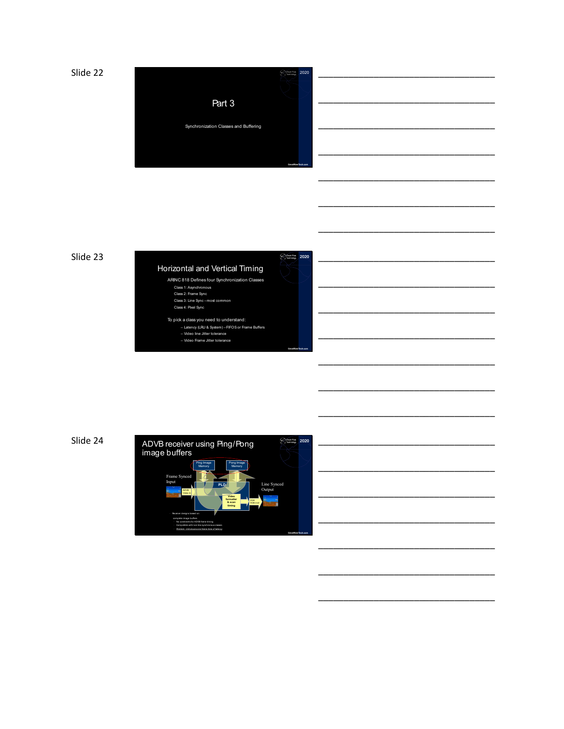



**GreatRiverTech.com**

\_\_\_\_\_\_\_\_\_\_\_\_\_\_\_\_\_\_\_\_\_\_\_\_\_\_\_\_\_\_\_\_\_\_\_

\_\_\_\_\_\_\_\_\_\_\_\_\_\_\_\_\_\_\_\_\_\_\_\_\_\_\_\_\_\_\_\_\_\_\_

\_\_\_\_\_\_\_\_\_\_\_\_\_\_\_\_\_\_\_\_\_\_\_\_\_\_\_\_\_\_\_\_\_\_\_

\_\_\_\_\_\_\_\_\_\_\_\_\_\_\_\_\_\_\_\_\_\_\_\_\_\_\_\_\_\_\_\_\_\_\_

\_\_\_\_\_\_\_\_\_\_\_\_\_\_\_\_\_\_\_\_\_\_\_\_\_\_\_\_\_\_\_\_\_\_\_

\_\_\_\_\_\_\_\_\_\_\_\_\_\_\_\_\_\_\_\_\_\_\_\_\_\_\_\_\_\_\_\_\_\_\_



– Video line Jitter tolerance – Video Frame Jitter tolerance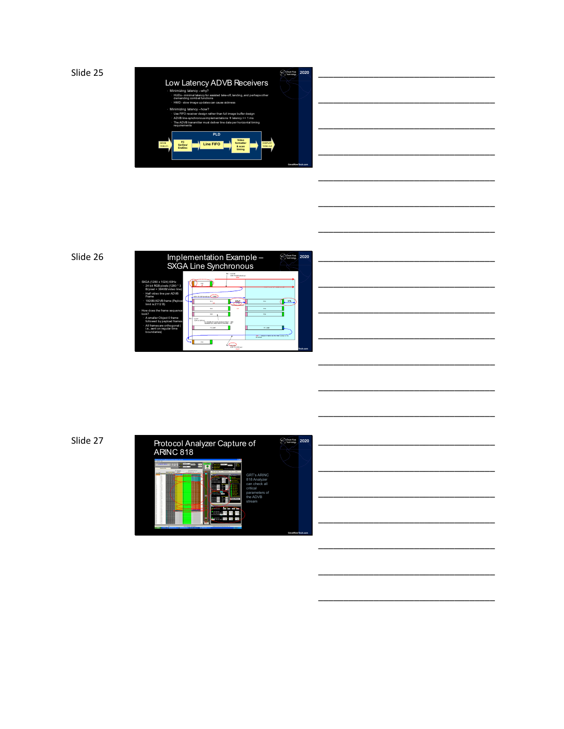

| _________________ |  |  |  |  |  |  |
|-------------------|--|--|--|--|--|--|
|                   |  |  |  |  |  |  |
| ______            |  |  |  |  |  |  |
|                   |  |  |  |  |  |  |
| _________         |  |  |  |  |  |  |
|                   |  |  |  |  |  |  |
|                   |  |  |  |  |  |  |
| _______________   |  |  |  |  |  |  |

\_\_\_\_\_\_\_\_\_\_\_\_\_\_\_\_\_\_\_\_\_\_\_\_\_\_\_\_\_\_\_\_\_\_\_

\_\_\_\_\_\_\_\_\_\_\_\_\_\_\_\_\_\_\_\_\_\_\_\_\_\_\_\_\_\_\_\_\_\_\_

\_\_\_\_\_\_\_\_\_\_\_\_\_\_\_\_\_\_\_\_\_\_\_\_\_\_\_\_\_\_\_\_\_\_\_

## Slide 26

|                                                                                                                                                                                                                                                                                                                                                                   | Implementation Example<br><b>Court River</b><br><b>SXGA Line Synchronous</b>                                                                                                                                                                                                                                                                                                                                                                        | 2020     |
|-------------------------------------------------------------------------------------------------------------------------------------------------------------------------------------------------------------------------------------------------------------------------------------------------------------------------------------------------------------------|-----------------------------------------------------------------------------------------------------------------------------------------------------------------------------------------------------------------------------------------------------------------------------------------------------------------------------------------------------------------------------------------------------------------------------------------------------|----------|
| SXGA (1280 x 1024) 60Hz<br>24 bit RGB pixels (1280 * 3<br>B/pixel = 3840B/video line)<br>· Half video line per ADVB<br>Frame<br>· 1920B/ADVB frame (Pavload<br>limit is 2112 B)<br>How does the frame sequence<br>Inok2<br>· A smaller Obiect 0 frame<br>followed by payload frames<br>· All frames are orthogonal (<br>i.e., sent on regular time<br>boundaries) | <b>Dix cocom</b><br>SEP/TO SEP (Telling)<br>6009<br><b>SCFs TO SCF Kneeplay &amp; 7.89E</b><br><b>BAR 8</b><br><b>Bart</b><br>$-$<br><b>PC2</b><br>œ<br>m<br>nos<br>0.04<br>604.<br>teria noven<br><b>SERINA SORIAL</b><br>FC FRAME FAYLORD SIZE (E1TES) . 1920<br>MANUELL IN LANSING FF FRAME<br>FC 3549<br>10,000<br>499 - Values in Salida are the bilat number of 32<br><b>Marient</b><br>Afat addition<br><b>EFER BY SORIOUS</b><br><b>ANX</b> | Tech com |

\_\_\_\_\_\_\_\_\_\_\_\_\_\_\_\_\_\_\_\_\_\_\_\_\_\_\_\_\_\_\_\_\_\_\_ \_\_\_\_\_\_\_\_\_\_\_\_\_\_\_\_\_\_\_\_\_\_\_\_\_\_\_\_\_\_\_\_\_\_\_ \_\_\_\_\_\_\_\_\_\_\_\_\_\_\_\_\_\_\_\_\_\_\_\_\_\_\_\_\_\_\_\_\_\_\_ \_\_\_\_\_\_\_\_\_\_\_\_\_\_\_\_\_\_\_\_\_\_\_\_\_\_\_\_\_\_\_\_\_\_\_

\_\_\_\_\_\_\_\_\_\_\_\_\_\_\_\_\_\_\_\_\_\_\_\_\_\_\_\_\_\_\_\_\_\_\_

\_\_\_\_\_\_\_\_\_\_\_\_\_\_\_\_\_\_\_\_\_\_\_\_\_\_\_\_\_\_\_\_\_\_\_

\_\_\_\_\_\_\_\_\_\_\_\_\_\_\_\_\_\_\_\_\_\_\_\_\_\_\_\_\_\_\_\_\_\_\_

\_\_\_\_\_\_\_\_\_\_\_\_\_\_\_\_\_\_\_\_\_\_\_\_\_\_\_\_\_\_\_\_\_\_\_